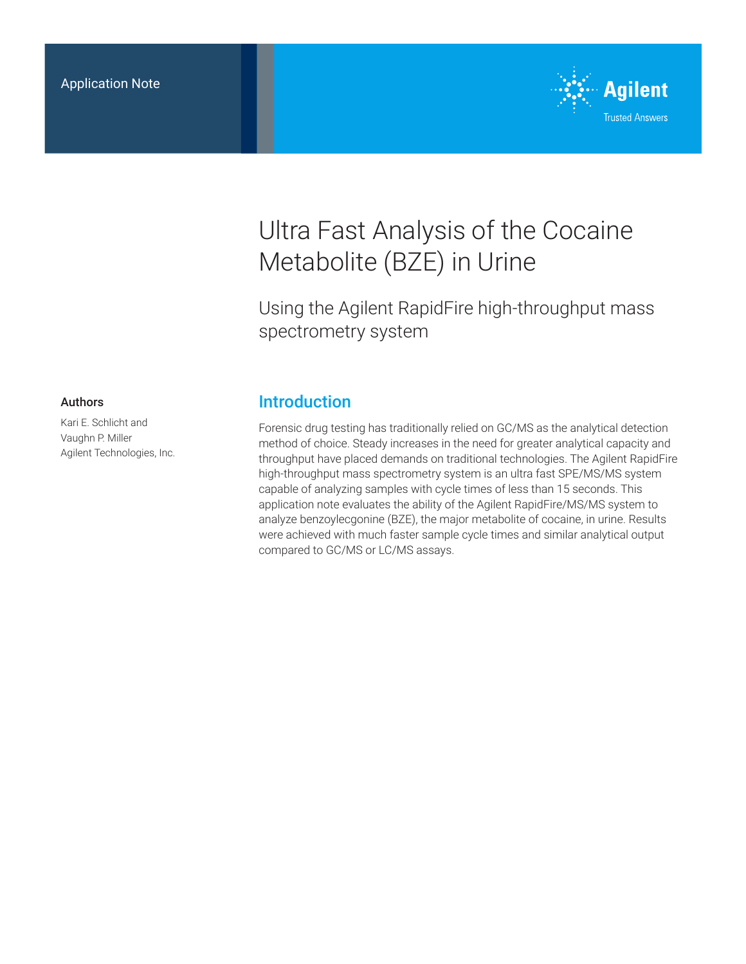

# Ultra Fast Analysis of the Cocaine Metabolite (BZE) in Urine

Using the Agilent RapidFire high-throughput mass spectrometry system

#### Authors

Kari E. Schlicht and Vaughn P. Miller Agilent Technologies, Inc.

## Introduction

Forensic drug testing has traditionally relied on GC/MS as the analytical detection method of choice. Steady increases in the need for greater analytical capacity and throughput have placed demands on traditional technologies. The Agilent RapidFire high-throughput mass spectrometry system is an ultra fast SPE/MS/MS system capable of analyzing samples with cycle times of less than 15 seconds. This application note evaluates the ability of the Agilent RapidFire/MS/MS system to analyze benzoylecgonine (BZE), the major metabolite of cocaine, in urine. Results were achieved with much faster sample cycle times and similar analytical output compared to GC/MS or LC/MS assays.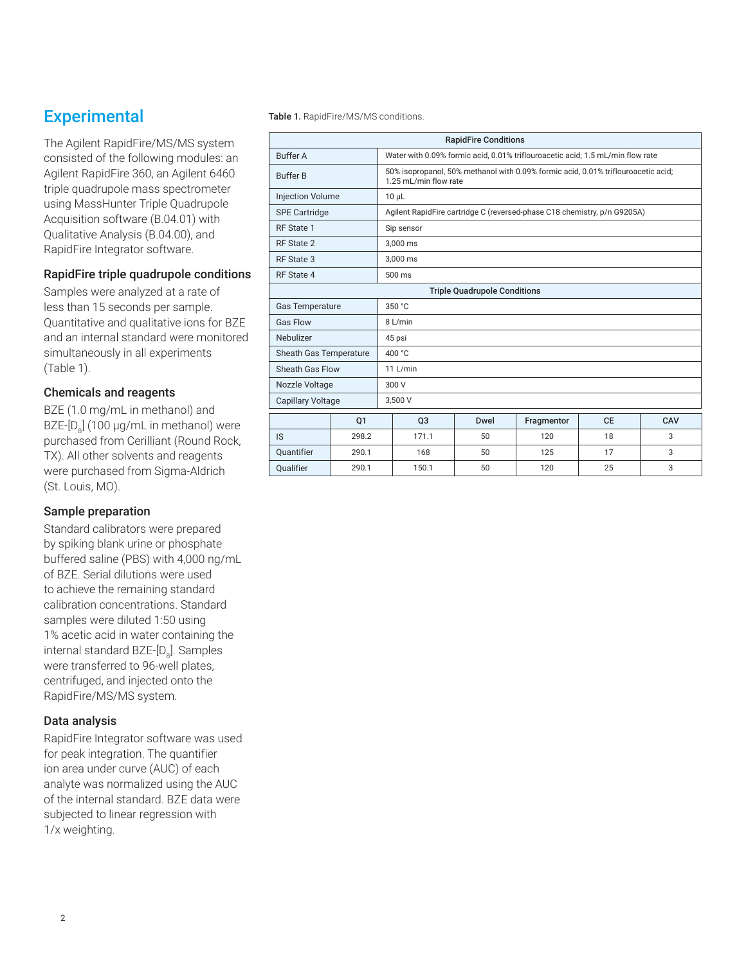## **Experimental**

The Agilent RapidFire/MS/MS system consisted of the following modules: an Agilent RapidFire 360, an Agilent 6460 triple quadrupole mass spectrometer using MassHunter Triple Quadrupole Acquisition software (B.04.01) with Qualitative Analysis (B.04.00), and RapidFire Integrator software.

#### RapidFire triple quadrupole conditions

Samples were analyzed at a rate of less than 15 seconds per sample. Quantitative and qualitative ions for BZE and an internal standard were monitored simultaneously in all experiments (Table 1).

#### Chemicals and reagents

BZE (1.0 mg/mL in methanol) and BZE-[D $_{\rm s}$ ] (100 µg/mL in methanol) were purchased from Cerilliant (Round Rock, TX). All other solvents and reagents were purchased from Sigma-Aldrich (St. Louis, MO).

#### Sample preparation

Standard calibrators were prepared by spiking blank urine or phosphate buffered saline (PBS) with 4,000 ng/mL of BZE. Serial dilutions were used to achieve the remaining standard calibration concentrations. Standard samples were diluted 1:50 using 1% acetic acid in water containing the internal standard BZE-[D<sub>8</sub>]. Samples were transferred to 96-well plates, centrifuged, and injected onto the RapidFire/MS/MS system.

### Data analysis

RapidFire Integrator software was used for peak integration. The quantifier ion area under curve (AUC) of each analyte was normalized using the AUC of the internal standard. BZE data were subjected to linear regression with 1/x weighting.

Table 1. RapidFire/MS/MS conditions.

| <b>RapidFire Conditions</b>         |       |                                                                                                            |      |            |           |     |  |  |
|-------------------------------------|-------|------------------------------------------------------------------------------------------------------------|------|------------|-----------|-----|--|--|
| <b>Buffer A</b>                     |       | Water with 0.09% formic acid, 0.01% triflouroacetic acid; 1.5 mL/min flow rate                             |      |            |           |     |  |  |
| <b>Buffer B</b>                     |       | 50% isopropanol, 50% methanol with 0.09% formic acid, 0.01% triflouroacetic acid;<br>1.25 mL/min flow rate |      |            |           |     |  |  |
| <b>Injection Volume</b>             |       | $10 \mu L$                                                                                                 |      |            |           |     |  |  |
| <b>SPE Cartridge</b>                |       | Agilent RapidFire cartridge C (reversed-phase C18 chemistry, p/n G9205A)                                   |      |            |           |     |  |  |
| RF State 1                          |       | Sip sensor                                                                                                 |      |            |           |     |  |  |
| RF State 2                          |       | 3.000 ms                                                                                                   |      |            |           |     |  |  |
| RF State 3                          |       | 3.000 ms                                                                                                   |      |            |           |     |  |  |
| RF State 4                          |       | $500$ ms                                                                                                   |      |            |           |     |  |  |
| <b>Triple Quadrupole Conditions</b> |       |                                                                                                            |      |            |           |     |  |  |
| <b>Gas Temperature</b>              |       | 350 °C                                                                                                     |      |            |           |     |  |  |
| <b>Gas Flow</b>                     |       | 8 L/min                                                                                                    |      |            |           |     |  |  |
| Nebulizer                           |       | 45 psi                                                                                                     |      |            |           |     |  |  |
| Sheath Gas Temperature              |       | 400 °C                                                                                                     |      |            |           |     |  |  |
| Sheath Gas Flow                     |       | 11 L/min                                                                                                   |      |            |           |     |  |  |
| Nozzle Voltage                      |       | 300 V                                                                                                      |      |            |           |     |  |  |
| <b>Capillary Voltage</b>            |       | 3.500 V                                                                                                    |      |            |           |     |  |  |
|                                     | 01    | Q <sub>3</sub>                                                                                             | Dwel | Fragmentor | <b>CE</b> | CAV |  |  |
| <b>IS</b>                           | 298.2 | 171.1                                                                                                      | 50   | 120        | 18        | 3   |  |  |
| <b>Ouantifier</b>                   | 290.1 | 168                                                                                                        | 50   | 125        | 17        | 3   |  |  |
| <b>Oualifier</b>                    | 290.1 | 150.1                                                                                                      | 50   | 120        | 25        | 3   |  |  |